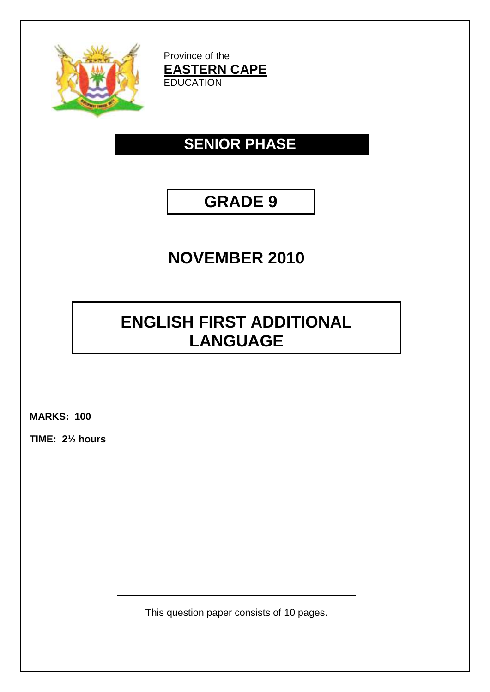

Province of the **EASTERN CAPE** EDUCATION

# **SENIOR PHASE**

# **GRADE 9**

# **NOVEMBER 2010**

# **ENGLISH FIRST ADDITIONAL LANGUAGE**

**MARKS: 100**

**TIME: 2½ hours**

This question paper consists of 10 pages.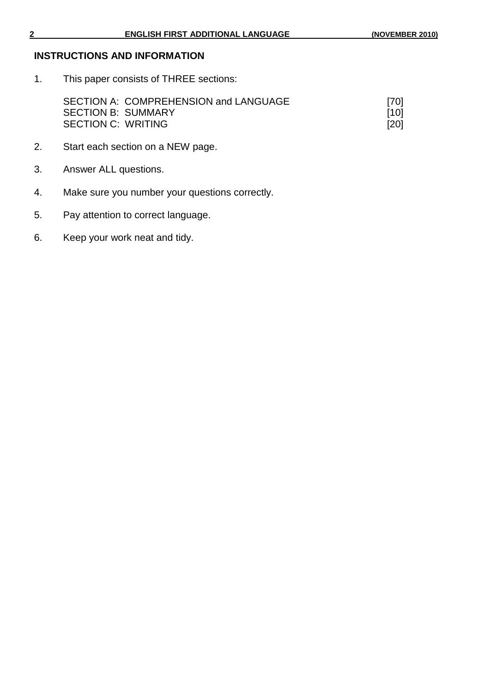# **INSTRUCTIONS AND INFORMATION**

1. This paper consists of THREE sections:

| SECTION A: COMPREHENSION and LANGUAGE | $[70]$ |
|---------------------------------------|--------|
| <b>SECTION B: SUMMARY</b>             | [10]   |
| <b>SECTION C: WRITING</b>             | [20]   |

- 2. Start each section on a NEW page.
- 3. Answer ALL questions.
- 4. Make sure you number your questions correctly.
- 5. Pay attention to correct language.
- 6. Keep your work neat and tidy.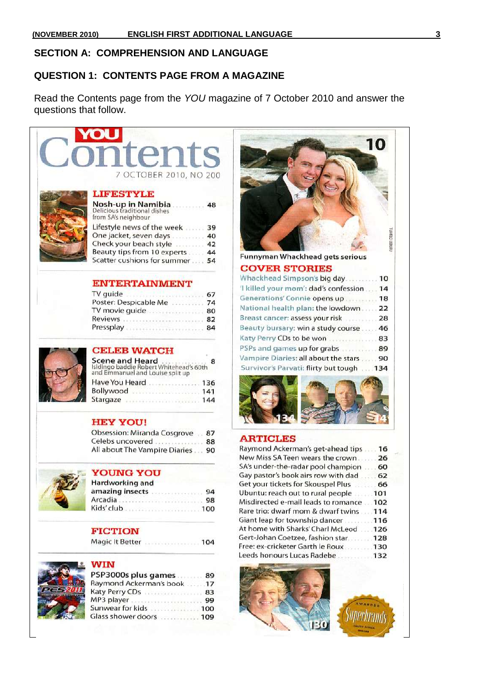## **SECTION A: COMPREHENSION AND LANGUAGE**

#### **QUESTION 1: CONTENTS PAGE FROM A MAGAZINE**

Read the Contents page from the *YOU* magazine of 7 October 2010 and answer the questions that follow.

# **OU OCTOBER 2010, NO 200 LIFESTYLE**

| <b>Nosh-up in Namibia</b><br>Delicious traditional dishes<br>from SA's neighbour | 48 |
|----------------------------------------------------------------------------------|----|
| Lifestyle news of the week                                                       | 39 |
| One jacket, seven days                                                           | 40 |
| Check your beach style                                                           | 42 |
| Beauty tips from 10 experts                                                      | 44 |
| Scatter cushions for summer                                                      | 54 |

#### **ENTERTAINMENT**

| TV guide              | 67 |
|-----------------------|----|
| Poster: Despicable Me | 74 |
| TV movie guide        | 80 |
| Reviews               | 82 |
| Pressplay             | 84 |



# **CELEB WATCH**

| Scene and Heard<br>Isidingo baddie Robert Whitehead's 60th<br>and Emmanuel and Louise split up |     |
|------------------------------------------------------------------------------------------------|-----|
| Have You Heard                                                                                 | 136 |
| Bollywood                                                                                      | 141 |
| Stargaze                                                                                       | 144 |

## **HEY YOU!**

| Obsession: Miranda Cosgrove   | 87 |
|-------------------------------|----|
| Celebs uncovered              | 88 |
| All about The Vampire Diaries | 90 |



# YOUNG YOU

| fardworking and |    |
|-----------------|----|
| mazing insects  | 94 |
|                 |    |
|                 |    |

#### **FICTION**

```
Magic It Better ......................... 104
```


# **WIN**

| PSP3000s plus games     | 89  |
|-------------------------|-----|
| Raymond Ackerman's book | .17 |
| Katy Perry CDs          | 83  |
| MP3 player              | 99  |
| Sunwear for kids        | 100 |
| Glass shower doors  109 |     |
|                         |     |



#### COVED STORIES

| CUVER ƏTURIEƏ                             |  |
|-------------------------------------------|--|
| Whackhead Simpson's big day 10            |  |
| 'I killed your mom': dad's confession  14 |  |
| Generations' Connie opens up  18          |  |
| National health plan: the lowdown  22     |  |
| Breast cancer: assess your risk  28       |  |
| Beauty bursary: win a study course  46    |  |
| Katy Perry CDs to be won  83              |  |
| PSPs and games up for grabs  89           |  |
| Vampire Diaries: all about the stars  90  |  |
| Survivor's Parvati: flirty but tough  134 |  |
|                                           |  |



#### **ARTICLES**

| Raymond Ackerman's get-ahead tips         | 16 |  |
|-------------------------------------------|----|--|
| New Miss SA Teen wears the crown          | 26 |  |
| SA's under-the-radar pool champion        | 60 |  |
| Gay pastor's book airs row with dad  62   |    |  |
| Get your tickets for Skouspel Plus  66    |    |  |
| Ubuntu: reach out to rural people [101]   |    |  |
| Misdirected e-mail leads to romance  102  |    |  |
| Rare trio: dwarf mom & dwarf twins  114   |    |  |
| Giant leap for township dancer [19] 116   |    |  |
| At home with Sharks' Charl McLeod 2002126 |    |  |
| Gert-Johan Coetzee, fashion star 128      |    |  |
| Free: ex-cricketer Garth le Roux130       |    |  |
| Leeds honours Lucas Radebe  132           |    |  |
|                                           |    |  |

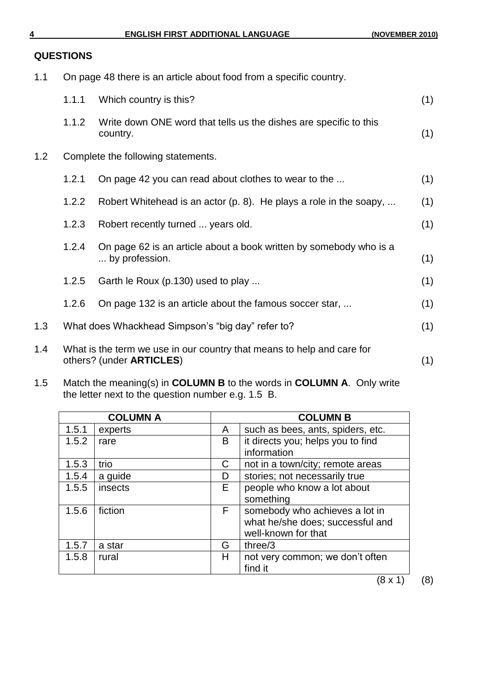## **QUESTIONS**

1.1 On page 48 there is an article about food from a specific country.

|     | 1.1.1 | Which country is this?                                                                                     | (1) |
|-----|-------|------------------------------------------------------------------------------------------------------------|-----|
|     | 1.1.2 | Write down ONE word that tells us the dishes are specific to this<br>country.                              | (1) |
| 1.2 |       | Complete the following statements.                                                                         |     |
|     | 1.2.1 | On page 42 you can read about clothes to wear to the                                                       | (1) |
|     | 1.2.2 | Robert Whitehead is an actor (p. 8). He plays a role in the soapy,                                         | (1) |
|     | 1.2.3 | Robert recently turned  years old.                                                                         | (1) |
|     | 1.2.4 | On page 62 is an article about a book written by somebody who is a<br>by profession.                       | (1) |
|     | 1.2.5 | Garth le Roux (p.130) used to play                                                                         | (1) |
|     | 1.2.6 | On page 132 is an article about the famous soccer star,                                                    | (1) |
| 1.3 |       | What does Whackhead Simpson's "big day" refer to?                                                          | (1) |
| 1.4 |       | What is the term we use in our country that means to help and care for<br>others? (under <b>ARTICLES</b> ) | (1) |
|     |       |                                                                                                            |     |

1.5 Match the meaning(s) in **COLUMN B** to the words in **COLUMN A**. Only write the letter next to the question number e.g. 1.5 B.

|       | <b>COLUMN A</b> |    | <b>COLUMN B</b>                   |
|-------|-----------------|----|-----------------------------------|
| 1.5.1 | experts         | A  | such as bees, ants, spiders, etc. |
| 1.5.2 | rare            | B  | it directs you; helps you to find |
|       |                 |    | information                       |
| 1.5.3 | trio            | C  | not in a town/city; remote areas  |
| 1.5.4 | a guide         | D  | stories; not necessarily true     |
| 1.5.5 | insects         | E. | people who know a lot about       |
|       |                 |    | something                         |
| 1.5.6 | fiction         | F  | somebody who achieves a lot in    |
|       |                 |    | what he/she does; successful and  |
|       |                 |    | well-known for that               |
| 1.5.7 | a star          | G  | three/3                           |
| 1.5.8 | rural           | Н  | not very common; we don't often   |
|       |                 |    | find it                           |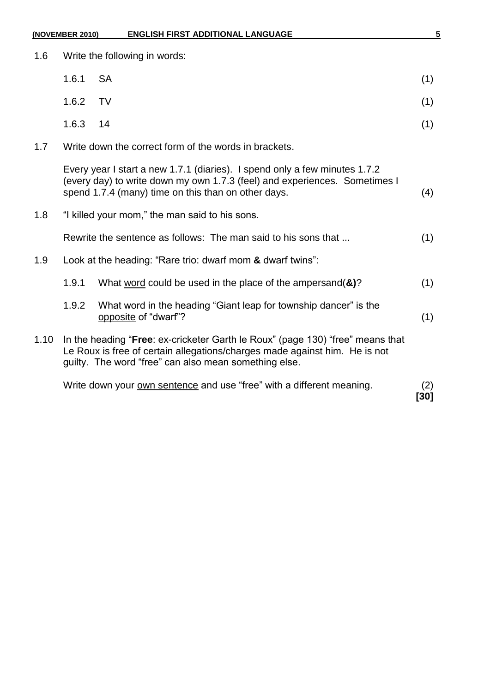| (NOVEMBER 2010) |                                                            | <b>ENGLISH FIRST ADDITIONAL LANGUAGE</b>                                                                                                                                                                              | 5           |
|-----------------|------------------------------------------------------------|-----------------------------------------------------------------------------------------------------------------------------------------------------------------------------------------------------------------------|-------------|
| 1.6             |                                                            | Write the following in words:                                                                                                                                                                                         |             |
|                 | 1.6.1                                                      | <b>SA</b>                                                                                                                                                                                                             | (1)         |
|                 | 1.6.2                                                      | <b>TV</b>                                                                                                                                                                                                             | (1)         |
|                 | 1.6.3                                                      | 14                                                                                                                                                                                                                    | (1)         |
| 1.7             |                                                            | Write down the correct form of the words in brackets.                                                                                                                                                                 |             |
|                 |                                                            | Every year I start a new 1.7.1 (diaries). I spend only a few minutes 1.7.2<br>(every day) to write down my own 1.7.3 (feel) and experiences. Sometimes I<br>spend 1.7.4 (many) time on this than on other days.       | (4)         |
| 1.8             |                                                            | "I killed your mom," the man said to his sons.                                                                                                                                                                        |             |
|                 |                                                            | Rewrite the sentence as follows: The man said to his sons that                                                                                                                                                        | (1)         |
| 1.9             | Look at the heading: "Rare trio: dwarf mom & dwarf twins": |                                                                                                                                                                                                                       |             |
|                 | 1.9.1                                                      | What word could be used in the place of the ampersand $(8)$ ?                                                                                                                                                         | (1)         |
|                 | 1.9.2                                                      | What word in the heading "Giant leap for township dancer" is the<br>opposite of "dwarf"?                                                                                                                              | (1)         |
| 1.10            |                                                            | In the heading "Free: ex-cricketer Garth le Roux" (page 130) "free" means that<br>Le Roux is free of certain allegations/charges made against him. He is not<br>guilty. The word "free" can also mean something else. |             |
|                 |                                                            | Write down your own sentence and use "free" with a different meaning.                                                                                                                                                 | (2)<br>[30] |
|                 |                                                            |                                                                                                                                                                                                                       |             |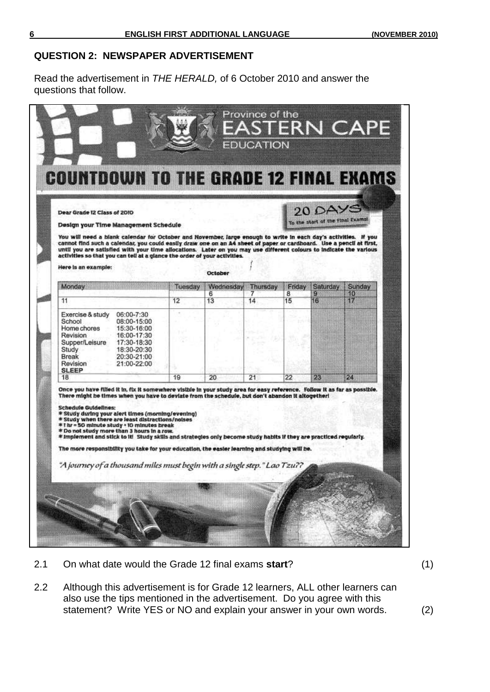#### **QUESTION 2: NEWSPAPER ADVERTISEMENT**

Read the advertisement in *THE HERALD,* of 6 October 2010 and answer the questions that follow.

| Dear Grade 12 Class of 2010<br>Design your Time Management Schedule<br>You will need a blank calendar for October and November, large enough to write in each day's activities. If you<br>cannot find such a calendar, you could easily draw one on an A4 sheet of paper or cardboard. Use a pencil at first,                                                                                                                                                                                                                                                                                                                             |         |           |          |         | 20 DAYS<br>To the start of the Final Exams |          |  |
|-------------------------------------------------------------------------------------------------------------------------------------------------------------------------------------------------------------------------------------------------------------------------------------------------------------------------------------------------------------------------------------------------------------------------------------------------------------------------------------------------------------------------------------------------------------------------------------------------------------------------------------------|---------|-----------|----------|---------|--------------------------------------------|----------|--|
| until you are satisfied with your time allocations. Later on you may use different colours to indicate the various<br>activities so that you can tell at a glance the order of your activities.<br>Here is an example:                                                                                                                                                                                                                                                                                                                                                                                                                    |         | October   |          |         |                                            |          |  |
| Monday                                                                                                                                                                                                                                                                                                                                                                                                                                                                                                                                                                                                                                    | Tuesday | Wednesday | Thursday | Friday  | Saturday                                   | Sunday   |  |
| 11                                                                                                                                                                                                                                                                                                                                                                                                                                                                                                                                                                                                                                        | 12      | 6<br>13   | 7<br>14  | 8<br>15 | 9<br>16                                    | 10<br>17 |  |
| Exercise & study<br>06:00-7:30<br>School<br>08:00-15:00<br>Home chores<br>15:30-16:00<br>Revision<br>16:00-17:30<br>17:30-18:30<br>Supper/Leisure<br>Study<br>18:30-20:30<br>Break<br>20:30-21:00<br>21:00-22:00<br>Revision<br><b>SLEEP</b>                                                                                                                                                                                                                                                                                                                                                                                              |         |           |          |         |                                            |          |  |
| 18                                                                                                                                                                                                                                                                                                                                                                                                                                                                                                                                                                                                                                        | 19      | 20        | 21       | 22      | 23                                         | 24       |  |
| There might be times when you have to deviate from the schedule, but don't abandon it altogether!<br><b>Schedule Guidelines:</b><br>* Study during your alert times (morning/evening)<br>* Study when there are least distractions/noises<br>*1 hr = 50 minute study + 10 minutes break<br>* Do not study more than 3 hours in a row.<br>* Implement and stick to it! Study skills and strategies only become study habits if they are practiced regularly.<br>The more responsibility you take for your education, the easier learning and studying will be.<br>"A journey of a thousand miles must begin with a single step." Lao Tzu?? |         |           |          |         |                                            |          |  |

2.1 On what date would the Grade 12 final exams **start**? (1)

2.2 Although this advertisement is for Grade 12 learners, ALL other learners can also use the tips mentioned in the advertisement. Do you agree with this statement? Write YES or NO and explain your answer in your own words. (2)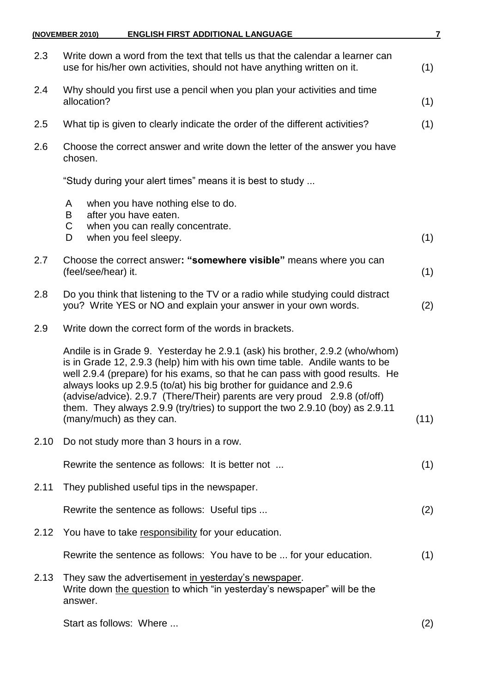|      | <b>ENGLISH FIRST ADDITIONAL LANGUAGE</b><br>(NOVEMBER 2010)                                                                                                                                                                                                                                                                                                                                                                                                                                                      | 7    |
|------|------------------------------------------------------------------------------------------------------------------------------------------------------------------------------------------------------------------------------------------------------------------------------------------------------------------------------------------------------------------------------------------------------------------------------------------------------------------------------------------------------------------|------|
| 2.3  | Write down a word from the text that tells us that the calendar a learner can<br>use for his/her own activities, should not have anything written on it.                                                                                                                                                                                                                                                                                                                                                         | (1)  |
| 2.4  | Why should you first use a pencil when you plan your activities and time<br>allocation?                                                                                                                                                                                                                                                                                                                                                                                                                          | (1)  |
| 2.5  | What tip is given to clearly indicate the order of the different activities?                                                                                                                                                                                                                                                                                                                                                                                                                                     | (1)  |
| 2.6  | Choose the correct answer and write down the letter of the answer you have<br>chosen.                                                                                                                                                                                                                                                                                                                                                                                                                            |      |
|      | "Study during your alert times" means it is best to study                                                                                                                                                                                                                                                                                                                                                                                                                                                        |      |
|      | when you have nothing else to do.<br>A<br>after you have eaten.<br>B                                                                                                                                                                                                                                                                                                                                                                                                                                             |      |
|      | C<br>when you can really concentrate.<br>when you feel sleepy.<br>D                                                                                                                                                                                                                                                                                                                                                                                                                                              | (1)  |
| 2.7  | Choose the correct answer: "somewhere visible" means where you can<br>(feel/see/hear) it.                                                                                                                                                                                                                                                                                                                                                                                                                        | (1)  |
| 2.8  | Do you think that listening to the TV or a radio while studying could distract<br>you? Write YES or NO and explain your answer in your own words.                                                                                                                                                                                                                                                                                                                                                                | (2)  |
| 2.9  | Write down the correct form of the words in brackets.                                                                                                                                                                                                                                                                                                                                                                                                                                                            |      |
|      | Andile is in Grade 9. Yesterday he 2.9.1 (ask) his brother, 2.9.2 (who/whom)<br>is in Grade 12, 2.9.3 (help) him with his own time table. Andile wants to be<br>well 2.9.4 (prepare) for his exams, so that he can pass with good results. He<br>always looks up 2.9.5 (to/at) his big brother for guidance and 2.9.6<br>(advise/advice). 2.9.7 (There/Their) parents are very proud 2.9.8 (of/off)<br>them. They always 2.9.9 (try/tries) to support the two 2.9.10 (boy) as 2.9.11<br>(many/much) as they can. | (11) |
| 2.10 | Do not study more than 3 hours in a row.                                                                                                                                                                                                                                                                                                                                                                                                                                                                         |      |
|      | Rewrite the sentence as follows: It is better not                                                                                                                                                                                                                                                                                                                                                                                                                                                                | (1)  |
| 2.11 | They published useful tips in the newspaper.                                                                                                                                                                                                                                                                                                                                                                                                                                                                     |      |
|      | Rewrite the sentence as follows: Useful tips                                                                                                                                                                                                                                                                                                                                                                                                                                                                     | (2)  |
| 2.12 | You have to take responsibility for your education.                                                                                                                                                                                                                                                                                                                                                                                                                                                              |      |
|      | Rewrite the sentence as follows: You have to be  for your education.                                                                                                                                                                                                                                                                                                                                                                                                                                             | (1)  |
| 2.13 | They saw the advertisement in yesterday's newspaper.<br>Write down the question to which "in yesterday's newspaper" will be the<br>answer.                                                                                                                                                                                                                                                                                                                                                                       |      |
|      | Start as follows: Where                                                                                                                                                                                                                                                                                                                                                                                                                                                                                          | (2)  |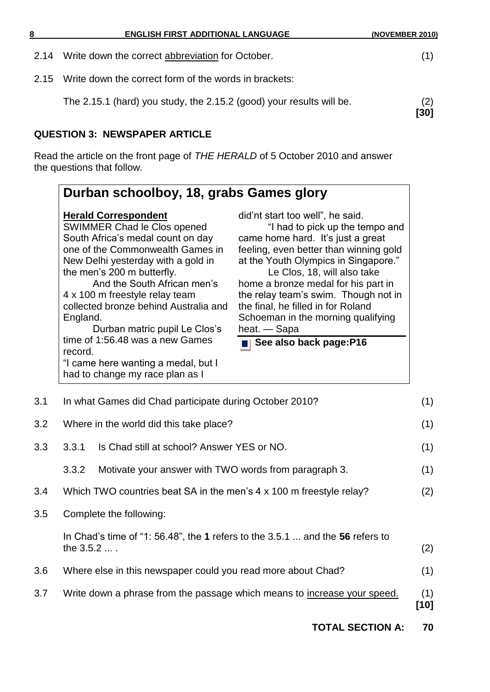| 8    | <b>ENGLISH FIRST ADDITIONAL LANGUAGE</b>                             | (NOVEMBER 2010) |
|------|----------------------------------------------------------------------|-----------------|
| 2.14 | Write down the correct abbreviation for October.                     | (1)             |
| 2.15 | Write down the correct form of the words in brackets:                |                 |
|      | The 2.15.1 (hard) you study, the 2.15.2 (good) your results will be. | (2)<br>[30]     |
|      | <b>QUESTION 3: NEWSPAPER ARTICLE</b>                                 |                 |

Read the article on the front page of *THE HERALD* of 5 October 2010 and answer the questions that follow.

| England.<br>record. | <b>Herald Correspondent</b><br>SWIMMER Chad le Clos opened<br>South Africa's medal count on day<br>one of the Commonwealth Games in<br>New Delhi yesterday with a gold in<br>the men's 200 m butterfly.<br>And the South African men's<br>4 x 100 m freestyle relay team<br>collected bronze behind Australia and<br>Durban matric pupil Le Clos's<br>time of 1:56.48 was a new Games<br>"I came here wanting a medal, but I<br>had to change my race plan as I | did'nt start too well", he said.<br>"I had to pick up the tempo and<br>came home hard. It's just a great<br>feeling, even better than winning gold<br>at the Youth Olympics in Singapore."<br>Le Clos, 18, will also take<br>home a bronze medal for his part in<br>the relay team's swim. Though not in<br>the final, he filled in for Roland<br>Schoeman in the morning qualifying<br>heat. — Sapa<br>See also back page:P16 |
|---------------------|-----------------------------------------------------------------------------------------------------------------------------------------------------------------------------------------------------------------------------------------------------------------------------------------------------------------------------------------------------------------------------------------------------------------------------------------------------------------|--------------------------------------------------------------------------------------------------------------------------------------------------------------------------------------------------------------------------------------------------------------------------------------------------------------------------------------------------------------------------------------------------------------------------------|
|                     |                                                                                                                                                                                                                                                                                                                                                                                                                                                                 |                                                                                                                                                                                                                                                                                                                                                                                                                                |
|                     | In what Games did Chad participate during October 2010?                                                                                                                                                                                                                                                                                                                                                                                                         |                                                                                                                                                                                                                                                                                                                                                                                                                                |
|                     | Where in the world did this take place?                                                                                                                                                                                                                                                                                                                                                                                                                         |                                                                                                                                                                                                                                                                                                                                                                                                                                |
| 3.3.1               | Is Chad still at school? Answer YES or NO.                                                                                                                                                                                                                                                                                                                                                                                                                      |                                                                                                                                                                                                                                                                                                                                                                                                                                |
| 3.3.2               | Motivate your answer with TWO words from paragraph 3.                                                                                                                                                                                                                                                                                                                                                                                                           |                                                                                                                                                                                                                                                                                                                                                                                                                                |

3.5 Complete the following:

In Chad's time of "1: 56.48", the **1** refers to the 3.5.1 ... and the **56** refers to the  $3.5.2 ...$  . (2)

- 3.6 Where else in this newspaper could you read more about Chad? (1)
- 3.7 Write down a phrase from the passage which means to increase your speed. (1)

**[10]**

**TOTAL SECTION A: 70**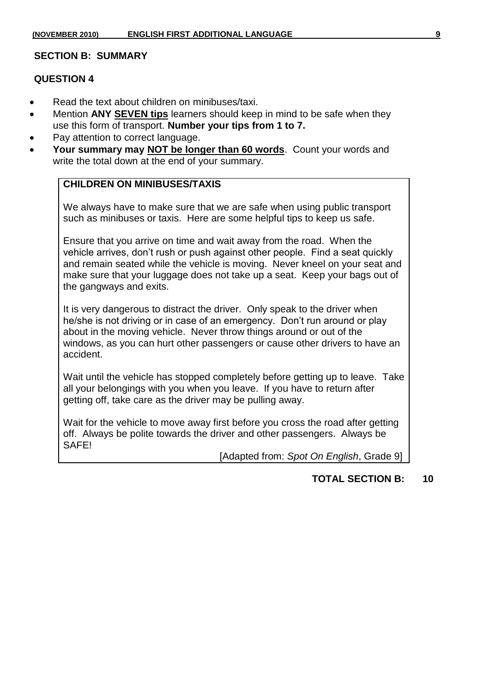#### **SECTION B: SUMMARY**

#### **QUESTION 4**

- Read the text about children on minibuses/taxi.
- Mention **ANY SEVEN tips** learners should keep in mind to be safe when they use this form of transport. **Number your tips from 1 to 7.**
- Pay attention to correct language.
- **Your summary may NOT be longer than 60 words**. Count your words and write the total down at the end of your summary.

## **CHILDREN ON MINIBUSES/TAXIS**

We always have to make sure that we are safe when using public transport such as minibuses or taxis. Here are some helpful tips to keep us safe.

Ensure that you arrive on time and wait away from the road. When the vehicle arrives, don't rush or push against other people. Find a seat quickly and remain seated while the vehicle is moving. Never kneel on your seat and make sure that your luggage does not take up a seat. Keep your bags out of the gangways and exits.

It is very dangerous to distract the driver. Only speak to the driver when he/she is not driving or in case of an emergency. Don't run around or play about in the moving vehicle. Never throw things around or out of the windows, as you can hurt other passengers or cause other drivers to have an accident.

Wait until the vehicle has stopped completely before getting up to leave. Take all your belongings with you when you leave. If you have to return after getting off, take care as the driver may be pulling away.

Wait for the vehicle to move away first before you cross the road after getting off. Always be polite towards the driver and other passengers. Always be SAFE!

[Adapted from: *Spot On English*, Grade 9]

## **TOTAL SECTION B: 10**